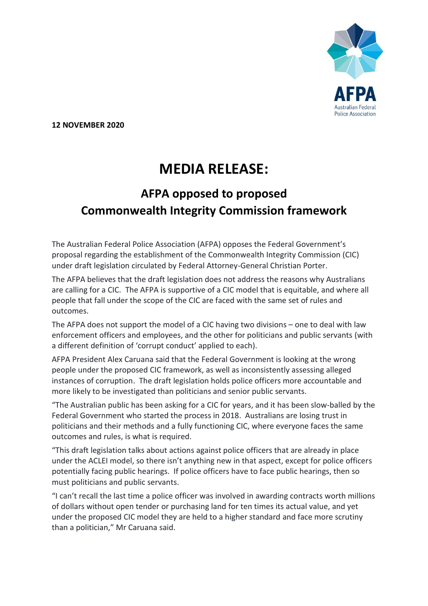

**12 NOVEMBER 2020**

## **MEDIA RELEASE:**

## **AFPA opposed to proposed Commonwealth Integrity Commission framework**

The Australian Federal Police Association (AFPA) opposes the Federal Government's proposal regarding the establishment of the Commonwealth Integrity Commission (CIC) under draft legislation circulated by Federal Attorney-General Christian Porter.

The AFPA believes that the draft legislation does not address the reasons why Australians are calling for a CIC. The AFPA is supportive of a CIC model that is equitable, and where all people that fall under the scope of the CIC are faced with the same set of rules and outcomes.

The AFPA does not support the model of a CIC having two divisions – one to deal with law enforcement officers and employees, and the other for politicians and public servants (with a different definition of 'corrupt conduct' applied to each).

AFPA President Alex Caruana said that the Federal Government is looking at the wrong people under the proposed CIC framework, as well as inconsistently assessing alleged instances of corruption. The draft legislation holds police officers more accountable and more likely to be investigated than politicians and senior public servants.

"The Australian public has been asking for a CIC for years, and it has been slow-balled by the Federal Government who started the process in 2018. Australians are losing trust in politicians and their methods and a fully functioning CIC, where everyone faces the same outcomes and rules, is what is required.

"This draft legislation talks about actions against police officers that are already in place under the ACLEI model, so there isn't anything new in that aspect, except for police officers potentially facing public hearings. If police officers have to face public hearings, then so must politicians and public servants.

"I can't recall the last time a police officer was involved in awarding contracts worth millions of dollars without open tender or purchasing land for ten times its actual value, and yet under the proposed CIC model they are held to a higher standard and face more scrutiny than a politician," Mr Caruana said.